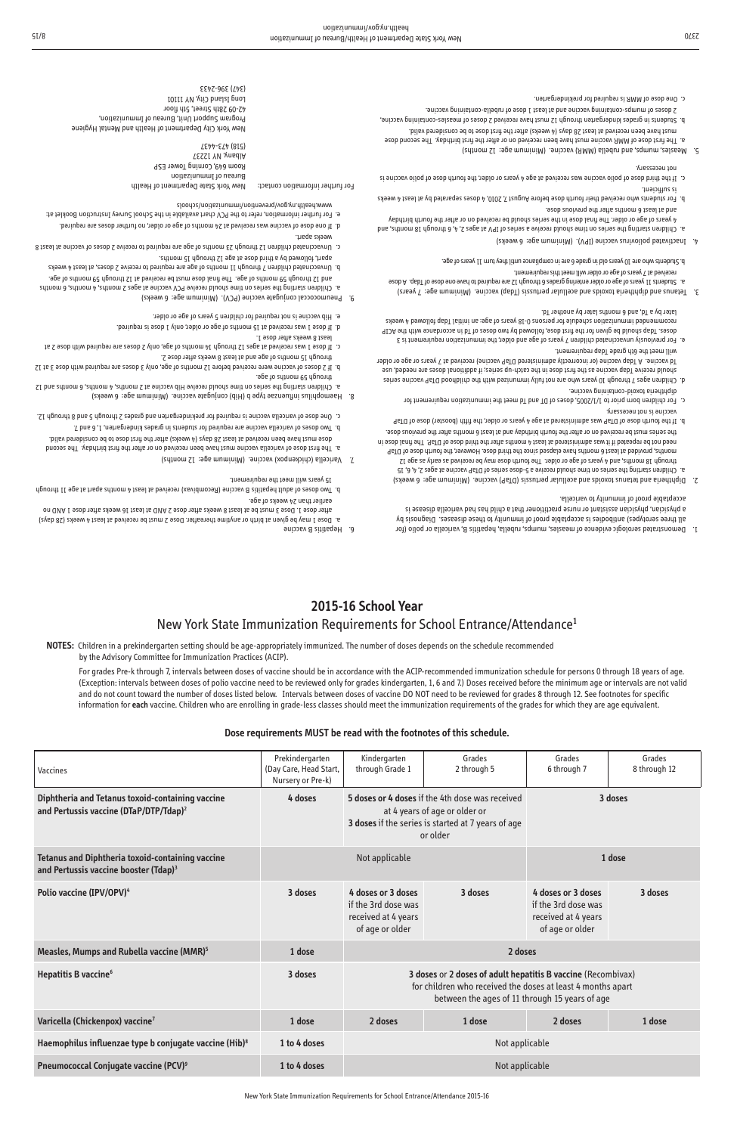## **2015-16 School Year**

## New York State Immunization Requirements for School Entrance/Attendance**<sup>1</sup>**

## **NOTES:** Children in a prekindergarten setting should be age-appropriately immunized. The number of doses depends on the schedule recommended by the Advisory Committee for Immunization Practices (ACIP).

For grades Pre-k through 7, intervals between doses of vaccine should be in accordance with the ACIP-recommended immunization schedule for persons 0 through 18 years of age. (Exception: intervals between doses of polio vaccine need to be reviewed only for grades kindergarten, 1, 6 and 7.) Doses received before the minimum age or intervals are not valid and do not count toward the number of doses listed below. Intervals between doses of vaccine DO NOT need to be reviewed for grades 8 through 12. See footnotes for specific information for **each** vaccine. Children who are enrolling in grade-less classes should meet the immunization requirements of the grades for which they are age equivalent.

| Vaccines                                                                                                     | Prekindergarten<br>(Day Care, Head Start,<br>Nursery or Pre-k) | Kindergarten<br>through Grade 1                                                                                                                                               | Grades<br>2 through 5 | Grades<br>6 through 7                                                               | Grades<br>8 through 12 |
|--------------------------------------------------------------------------------------------------------------|----------------------------------------------------------------|-------------------------------------------------------------------------------------------------------------------------------------------------------------------------------|-----------------------|-------------------------------------------------------------------------------------|------------------------|
| Diphtheria and Tetanus toxoid-containing vaccine<br>and Pertussis vaccine (DTaP/DTP/Tdap) <sup>2</sup>       | 4 doses                                                        | 5 doses or 4 doses if the 4th dose was received<br>at 4 years of age or older or<br>3 doses if the series is started at 7 years of age<br>or older                            |                       | 3 doses                                                                             |                        |
| <b>Tetanus and Diphtheria toxoid-containing vaccine</b><br>and Pertussis vaccine booster (Tdap) <sup>3</sup> | Not applicable                                                 |                                                                                                                                                                               | 1 dose                |                                                                                     |                        |
| Polio vaccine (IPV/OPV) <sup>4</sup>                                                                         | 3 doses                                                        | 4 doses or 3 doses<br>if the 3rd dose was<br>received at 4 years<br>of age or older                                                                                           | 3 doses               | 4 doses or 3 doses<br>if the 3rd dose was<br>received at 4 years<br>of age or older | 3 doses                |
| Measles, Mumps and Rubella vaccine (MMR) <sup>5</sup>                                                        | 1 dose                                                         | 2 doses                                                                                                                                                                       |                       |                                                                                     |                        |
| Hepatitis B vaccine <sup>6</sup>                                                                             | 3 doses                                                        | 3 doses or 2 doses of adult hepatitis B vaccine (Recombivax)<br>for children who received the doses at least 4 months apart<br>between the ages of 11 through 15 years of age |                       |                                                                                     |                        |
| Varicella (Chickenpox) vaccine <sup>7</sup>                                                                  | 1 dose                                                         | 2 doses                                                                                                                                                                       | 1 dose                | 2 doses                                                                             | 1 dose                 |
| Haemophilus influenzae type b conjugate vaccine (Hib) <sup>8</sup>                                           | 1 to 4 doses                                                   | Not applicable                                                                                                                                                                |                       |                                                                                     |                        |
| Pneumococcal Conjugate vaccine (PCV) <sup>9</sup>                                                            | 1 to 4 doses                                                   | Not applicable                                                                                                                                                                |                       |                                                                                     |                        |

## **Dose requirements MUST be read with the footnotes of this schedule.**